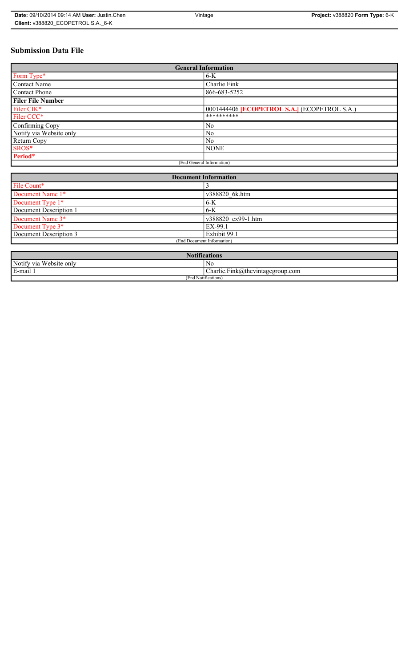# **Submission Data File**

| <b>General Information</b> |                                                   |
|----------------------------|---------------------------------------------------|
| Form Type*                 | $6-K$                                             |
| <b>Contact Name</b>        | Charlie Fink                                      |
| <b>Contact Phone</b>       | 866-683-5252                                      |
| <b>Filer File Number</b>   |                                                   |
| Filer CIK*                 | 0001444406 <b>ECOPETROL S.A.</b> (ECOPETROL S.A.) |
| Filer CCC*                 | **********                                        |
| Confirming Copy            | No                                                |
| Notify via Website only    | N <sub>0</sub>                                    |
| Return Copy                | N <sub>0</sub>                                    |
| SROS*                      | <b>NONE</b>                                       |
| Period*                    |                                                   |
| (End General Information)  |                                                   |

| <b>Document Information</b> |                    |
|-----------------------------|--------------------|
| File Count*                 |                    |
| Document Name 1*            | v388820 6k.htm     |
| Document Type 1*            | $6-K$              |
| Document Description 1      | $6 - K$            |
| Document Name 3*            | v388820 ex99-1.htm |
| Document Type 3*            | EX-99.1            |
| Document Description 3      | Exhibit 99.1       |
| (End Document Information)  |                    |
|                             |                    |

| <b>Notifications</b>                         |                                            |
|----------------------------------------------|--------------------------------------------|
| Website only<br>Notify via                   | N0                                         |
| and the state of<br>$\blacksquare$<br>E-mail | ~<br>$Charlie.Fink(a)$ thevintagegroup.com |
| (End Notifications)                          |                                            |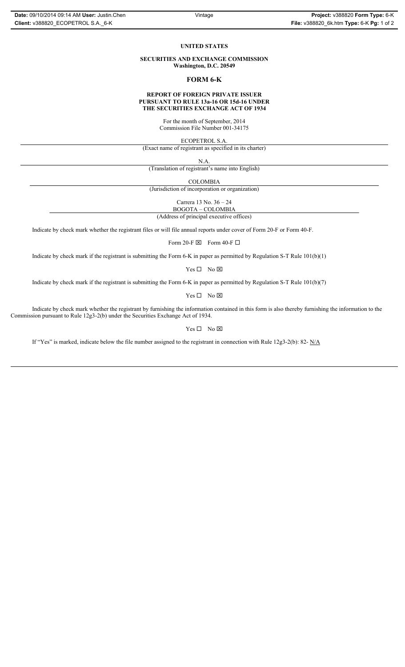#### **UNITED STATES**

**SECURITIES AND EXCHANGE COMMISSION Washington, D.C. 20549**

### **FORM 6-K**

### **REPORT OF FOREIGN PRIVATE ISSUER PURSUANT TO RULE 13a-16 OR 15d-16 UNDER THE SECURITIES EXCHANGE ACT OF 1934**

For the month of September, 2014 Commission File Number 001-34175

ECOPETROL S.A.

(Exact name of registrant as specified in its charter)

N.A.

(Translation of registrant's name into English)

COLOMBIA

(Jurisdiction of incorporation or organization)

Carrera 13 No. 36 – 24

BOGOTA – COLOMBIA

(Address of principal executive offices)

Indicate by check mark whether the registrant files or will file annual reports under cover of Form 20-F or Form 40-F.

Form 20-F  $\boxtimes$  Form 40-F  $\Box$ 

Indicate by check mark if the registrant is submitting the Form 6-K in paper as permitted by Regulation S-T Rule 101(b)(1)

 $Yes \Box No \boxtimes$ 

Indicate by check mark if the registrant is submitting the Form 6-K in paper as permitted by Regulation S-T Rule 101(b)(7)

 $Yes \Box No \boxtimes$ 

Indicate by check mark whether the registrant by furnishing the information contained in this form is also thereby furnishing the information to the Commission pursuant to Rule 12g3-2(b) under the Securities Exchange Act of 1934.

 $Yes \Box No \boxtimes$ 

If "Yes" is marked, indicate below the file number assigned to the registrant in connection with Rule 12g3-2(b): 82-  $N/A$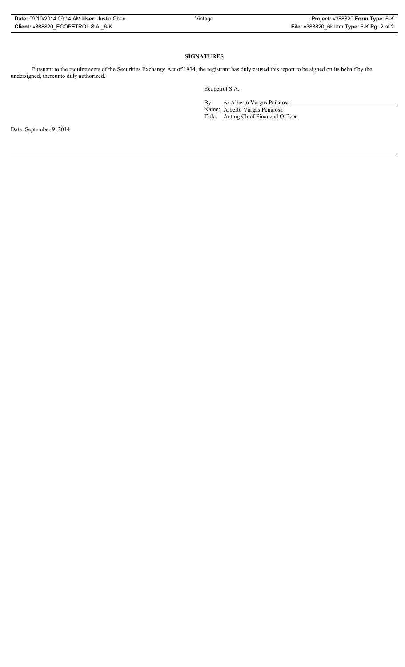| <b>Date: 09/10/2014 09:14 AM User: Justin.Chen</b> |
|----------------------------------------------------|
| Client: v388820 ECOPETROL S.A. 6-K                 |

## **SIGNATURES**

Pursuant to the requirements of the Securities Exchange Act of 1934, the registrant has duly caused this report to be signed on its behalf by the undersigned, thereunto duly authorized.

Ecopetrol S.A.

By: /s/ Alberto Vargas Peñalosa Name: Alberto Vargas Peñalosa Title: Acting Chief Financial Officer

Date: September 9, 2014